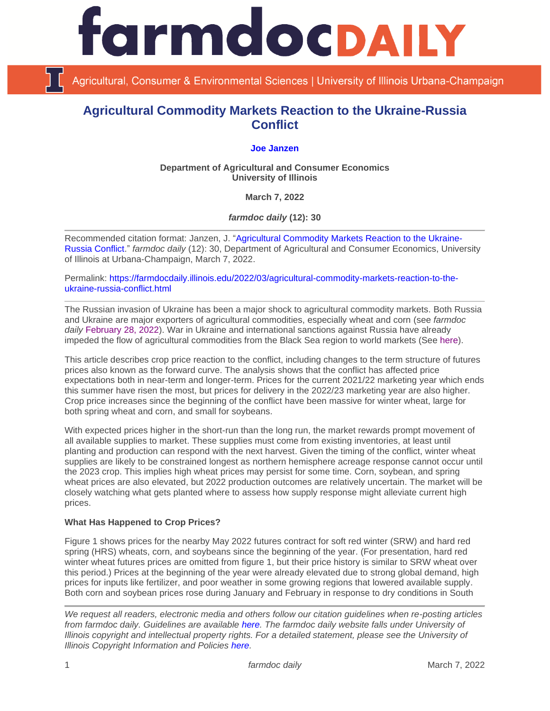

Agricultural, Consumer & Environmental Sciences | University of Illinois Urbana-Champaign

# **Agricultural Commodity Markets Reaction to the Ukraine-Russia Conflict**

# **[Joe Janzen](https://ace.illinois.edu/directory/jjanzen)**

**Department of Agricultural and Consumer Economics University of Illinois**

**March 7, 2022**

*farmdoc daily* **(12): 30**

Recommended citation format: Janzen, J. ["Agricultural Commodity Markets Reaction to the Ukraine-](https://farmdocdaily.illinois.edu/2022/03/agricultural-commodity-markets-reaction-to-the-ukraine-russia-conflict.html)[Russia Conflict.](https://farmdocdaily.illinois.edu/2022/03/agricultural-commodity-markets-reaction-to-the-ukraine-russia-conflict.html)" *farmdoc daily* (12): 30, Department of Agricultural and Consumer Economics, University of Illinois at Urbana-Champaign, March 7, 2022.

Permalink: [https://farmdocdaily.illinois.edu/2022/03/agricultural-commodity-markets-reaction-to-the](https://farmdocdaily.illinois.edu/2022/03/agricultural-commodity-markets-reaction-to-the-ukraine-russia-conflict.html)[ukraine-russia-conflict.html](https://farmdocdaily.illinois.edu/2022/03/agricultural-commodity-markets-reaction-to-the-ukraine-russia-conflict.html)

The Russian invasion of Ukraine has been a major shock to agricultural commodity markets. Both Russia and Ukraine are major exporters of agricultural commodities, especially wheat and corn (see *farmdoc daily* [February 28, 2022\)](https://farmdocdaily.illinois.edu/2022/02/revisiting-ukraine-russia-and-agricultural-commodity-markets.html). War in Ukraine and international sanctions against Russia have already impeded the flow of agricultural commodities from the Black Sea region to world markets (See [here\)](https://www.ft.com/content/457ba29e-f29b-4677-b69e-a6e5b973cad6).

This article describes crop price reaction to the conflict, including changes to the term structure of futures prices also known as the forward curve. The analysis shows that the conflict has affected price expectations both in near-term and longer-term. Prices for the current 2021/22 marketing year which ends this summer have risen the most, but prices for delivery in the 2022/23 marketing year are also higher. Crop price increases since the beginning of the conflict have been massive for winter wheat, large for both spring wheat and corn, and small for soybeans.

With expected prices higher in the short-run than the long run, the market rewards prompt movement of all available supplies to market. These supplies must come from existing inventories, at least until planting and production can respond with the next harvest. Given the timing of the conflict, winter wheat supplies are likely to be constrained longest as northern hemisphere acreage response cannot occur until the 2023 crop. This implies high wheat prices may persist for some time. Corn, soybean, and spring wheat prices are also elevated, but 2022 production outcomes are relatively uncertain. The market will be closely watching what gets planted where to assess how supply response might alleviate current high prices.

#### **What Has Happened to Crop Prices?**

Figure 1 shows prices for the nearby May 2022 futures contract for soft red winter (SRW) and hard red spring (HRS) wheats, corn, and soybeans since the beginning of the year. (For presentation, hard red winter wheat futures prices are omitted from figure 1, but their price history is similar to SRW wheat over this period.) Prices at the beginning of the year were already elevated due to strong global demand, high prices for inputs like fertilizer, and poor weather in some growing regions that lowered available supply. Both corn and soybean prices rose during January and February in response to dry conditions in South

*We request all readers, electronic media and others follow our citation guidelines when re-posting articles from farmdoc daily. Guidelines are available [here.](http://farmdocdaily.illinois.edu/citationguide.html) The farmdoc daily website falls under University of Illinois copyright and intellectual property rights. For a detailed statement, please see the University of Illinois Copyright Information and Policies [here.](http://www.cio.illinois.edu/policies/copyright/)*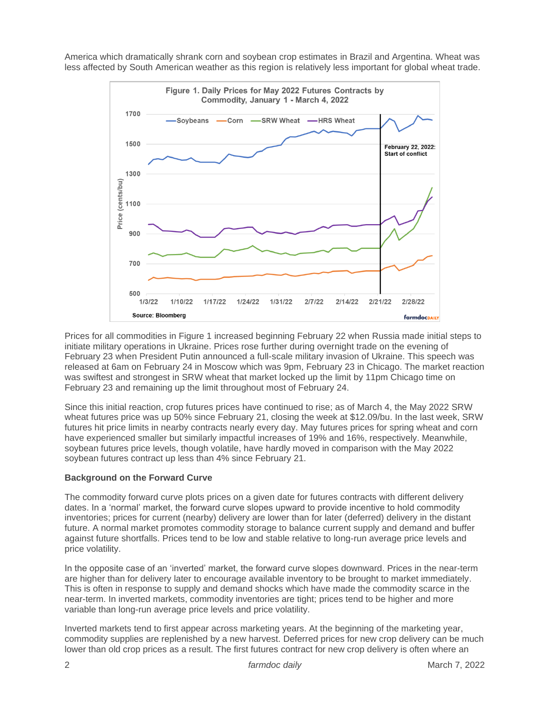America which dramatically shrank corn and soybean crop estimates in Brazil and Argentina. Wheat was less affected by South American weather as this region is relatively less important for global wheat trade.



Prices for all commodities in Figure 1 increased beginning February 22 when Russia made initial steps to initiate military operations in Ukraine. Prices rose further during overnight trade on the evening of February 23 when President Putin announced a full-scale military invasion of Ukraine. This speech was released at 6am on February 24 in Moscow which was 9pm, February 23 in Chicago. The market reaction was swiftest and strongest in SRW wheat that market locked up the limit by 11pm Chicago time on February 23 and remaining up the limit throughout most of February 24.

Since this initial reaction, crop futures prices have continued to rise; as of March 4, the May 2022 SRW wheat futures price was up 50% since February 21, closing the week at \$12.09/bu. In the last week, SRW futures hit price limits in nearby contracts nearly every day. May futures prices for spring wheat and corn have experienced smaller but similarly impactful increases of 19% and 16%, respectively. Meanwhile, soybean futures price levels, though volatile, have hardly moved in comparison with the May 2022 soybean futures contract up less than 4% since February 21.

#### **Background on the Forward Curve**

The commodity forward curve plots prices on a given date for futures contracts with different delivery dates. In a 'normal' market, the forward curve slopes upward to provide incentive to hold commodity inventories; prices for current (nearby) delivery are lower than for later (deferred) delivery in the distant future. A normal market promotes commodity storage to balance current supply and demand and buffer against future shortfalls. Prices tend to be low and stable relative to long-run average price levels and price volatility.

In the opposite case of an 'inverted' market, the forward curve slopes downward. Prices in the near-term are higher than for delivery later to encourage available inventory to be brought to market immediately. This is often in response to supply and demand shocks which have made the commodity scarce in the near-term. In inverted markets, commodity inventories are tight; prices tend to be higher and more variable than long-run average price levels and price volatility.

Inverted markets tend to first appear across marketing years. At the beginning of the marketing year, commodity supplies are replenished by a new harvest. Deferred prices for new crop delivery can be much lower than old crop prices as a result. The first futures contract for new crop delivery is often where an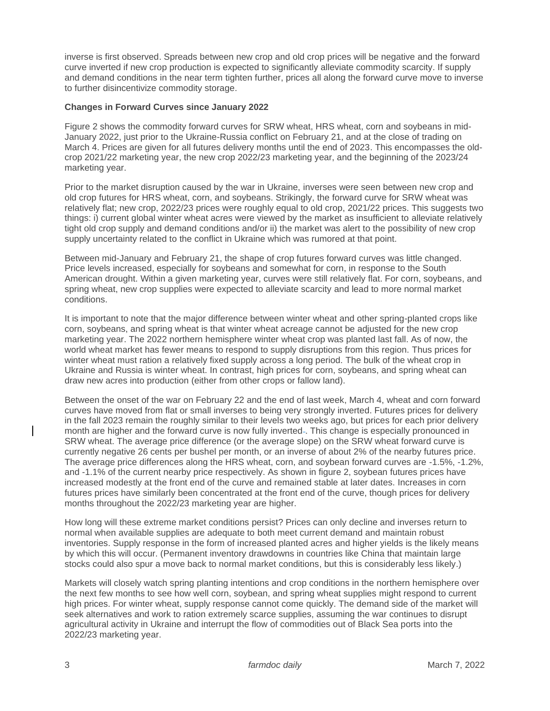inverse is first observed. Spreads between new crop and old crop prices will be negative and the forward curve inverted if new crop production is expected to significantly alleviate commodity scarcity. If supply and demand conditions in the near term tighten further, prices all along the forward curve move to inverse to further disincentivize commodity storage.

## **Changes in Forward Curves since January 2022**

Figure 2 shows the commodity forward curves for SRW wheat, HRS wheat, corn and soybeans in mid-January 2022, just prior to the Ukraine-Russia conflict on February 21, and at the close of trading on March 4. Prices are given for all futures delivery months until the end of 2023. This encompasses the oldcrop 2021/22 marketing year, the new crop 2022/23 marketing year, and the beginning of the 2023/24 marketing year.

Prior to the market disruption caused by the war in Ukraine, inverses were seen between new crop and old crop futures for HRS wheat, corn, and soybeans. Strikingly, the forward curve for SRW wheat was relatively flat; new crop, 2022/23 prices were roughly equal to old crop, 2021/22 prices. This suggests two things: i) current global winter wheat acres were viewed by the market as insufficient to alleviate relatively tight old crop supply and demand conditions and/or ii) the market was alert to the possibility of new crop supply uncertainty related to the conflict in Ukraine which was rumored at that point.

Between mid-January and February 21, the shape of crop futures forward curves was little changed. Price levels increased, especially for soybeans and somewhat for corn, in response to the South American drought. Within a given marketing year, curves were still relatively flat. For corn, soybeans, and spring wheat, new crop supplies were expected to alleviate scarcity and lead to more normal market conditions.

It is important to note that the major difference between winter wheat and other spring-planted crops like corn, soybeans, and spring wheat is that winter wheat acreage cannot be adjusted for the new crop marketing year. The 2022 northern hemisphere winter wheat crop was planted last fall. As of now, the world wheat market has fewer means to respond to supply disruptions from this region. Thus prices for winter wheat must ration a relatively fixed supply across a long period. The bulk of the wheat crop in Ukraine and Russia is winter wheat. In contrast, high prices for corn, soybeans, and spring wheat can draw new acres into production (either from other crops or fallow land).

Between the onset of the war on February 22 and the end of last week, March 4, wheat and corn forward curves have moved from flat or small inverses to being very strongly inverted. Futures prices for delivery in the fall 2023 remain the roughly similar to their levels two weeks ago, but prices for each prior delivery month are higher and the forward curve is now fully inverted . This change is especially pronounced in SRW wheat. The average price difference (or the average slope) on the SRW wheat forward curve is currently negative 26 cents per bushel per month, or an inverse of about 2% of the nearby futures price. The average price differences along the HRS wheat, corn, and soybean forward curves are -1.5%, -1.2%, and -1.1% of the current nearby price respectively. As shown in figure 2, soybean futures prices have increased modestly at the front end of the curve and remained stable at later dates. Increases in corn futures prices have similarly been concentrated at the front end of the curve, though prices for delivery months throughout the 2022/23 marketing year are higher.

How long will these extreme market conditions persist? Prices can only decline and inverses return to normal when available supplies are adequate to both meet current demand and maintain robust inventories. Supply response in the form of increased planted acres and higher yields is the likely means by which this will occur. (Permanent inventory drawdowns in countries like China that maintain large stocks could also spur a move back to normal market conditions, but this is considerably less likely.)

Markets will closely watch spring planting intentions and crop conditions in the northern hemisphere over the next few months to see how well corn, soybean, and spring wheat supplies might respond to current high prices. For winter wheat, supply response cannot come quickly. The demand side of the market will seek alternatives and work to ration extremely scarce supplies, assuming the war continues to disrupt agricultural activity in Ukraine and interrupt the flow of commodities out of Black Sea ports into the 2022/23 marketing year.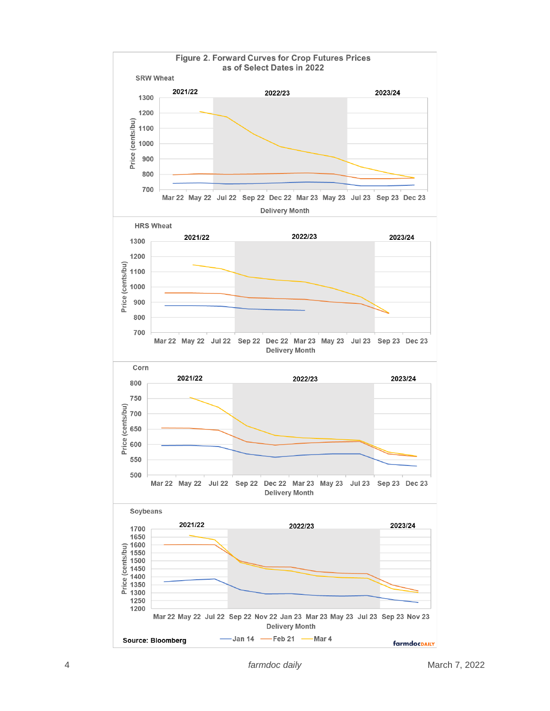